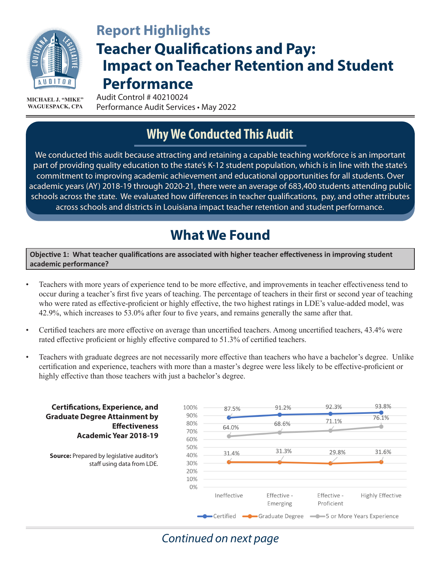

# **Teacher Qualifications and Pay: Impact on Teacher Retention and Student Performance Report Highlights**

Audit Control # 40210024 Performance Audit Services • May 2022 **MICHAEL J. "MIKE" WAGUESPACK, CPA**

# **Why We Conducted This Audit**

We conducted this audit because attracting and retaining a capable teaching workforce is an important part of providing quality education to the state's K-12 student population, which is in line with the state's commitment to improving academic achievement and educational opportunities for all students. Over academic years (AY) 2018-19 through 2020-21, there were an average of 683,400 students attending public schools across the state. We evaluated how differences in teacher qualifications, pay, and other attributes across schools and districts in Louisiana impact teacher retention and student performance.

# **What We Found**

**Objective 1: What teacher qualifications are associated with higher teacher effectiveness in improving student academic performance?** 

- Teachers with more years of experience tend to be more effective, and improvements in teacher effectiveness tend to occur during a teacher's first five years of teaching. The percentage of teachers in their first or second year of teaching who were rated as effective-proficient or highly effective, the two highest ratings in LDE's value-added model, was 42.9%, which increases to 53.0% after four to five years, and remains generally the same after that.
- Certified teachers are more effective on average than uncertified teachers. Among uncertified teachers, 43.4% were rated effective proficient or highly effective compared to 51.3% of certified teachers.
- Teachers with graduate degrees are not necessarily more effective than teachers who have a bachelor's degree. Unlike certification and experience, teachers with more than a master's degree were less likely to be effective-proficient or highly effective than those teachers with just a bachelor's degree.



### *Continued on next page*